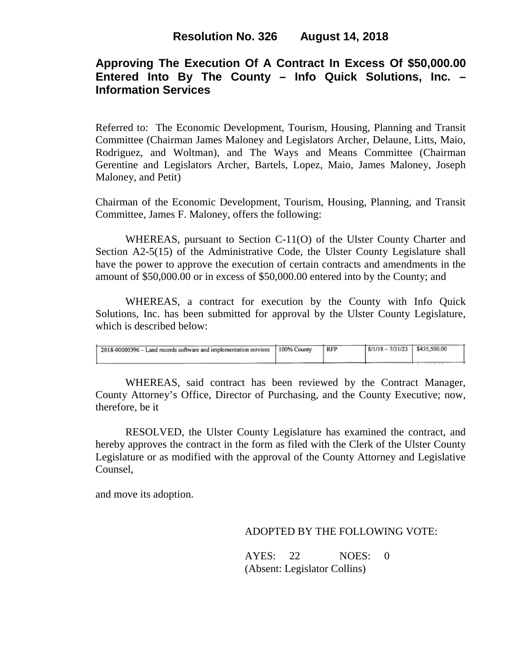# **Approving The Execution Of A Contract In Excess Of \$50,000.00 Entered Into By The County – Info Quick Solutions, Inc. – Information Services**

Referred to: The Economic Development, Tourism, Housing, Planning and Transit Committee (Chairman James Maloney and Legislators Archer, Delaune, Litts, Maio, Rodriguez, and Woltman), and The Ways and Means Committee (Chairman Gerentine and Legislators Archer, Bartels, Lopez, Maio, James Maloney, Joseph Maloney, and Petit)

Chairman of the Economic Development, Tourism, Housing, Planning, and Transit Committee, James F. Maloney, offers the following:

WHEREAS, pursuant to Section C-11(O) of the Ulster County Charter and Section A2-5(15) of the Administrative Code, the Ulster County Legislature shall have the power to approve the execution of certain contracts and amendments in the amount of \$50,000.00 or in excess of \$50,000.00 entered into by the County; and

WHEREAS, a contract for execution by the County with Info Quick Solutions, Inc. has been submitted for approval by the Ulster County Legislature, which is described below:

| 2018-00000396 – Land records software and implementation services | 100% County | <b>RFP</b> | $8/1/18 - 7/31/23$ | \$435,500.00 |
|-------------------------------------------------------------------|-------------|------------|--------------------|--------------|
|                                                                   |             |            |                    |              |

WHEREAS, said contract has been reviewed by the Contract Manager, County Attorney's Office, Director of Purchasing, and the County Executive; now, therefore, be it

RESOLVED, the Ulster County Legislature has examined the contract, and hereby approves the contract in the form as filed with the Clerk of the Ulster County Legislature or as modified with the approval of the County Attorney and Legislative Counsel,

and move its adoption.

## ADOPTED BY THE FOLLOWING VOTE:

AYES: 22 NOES: 0 (Absent: Legislator Collins)